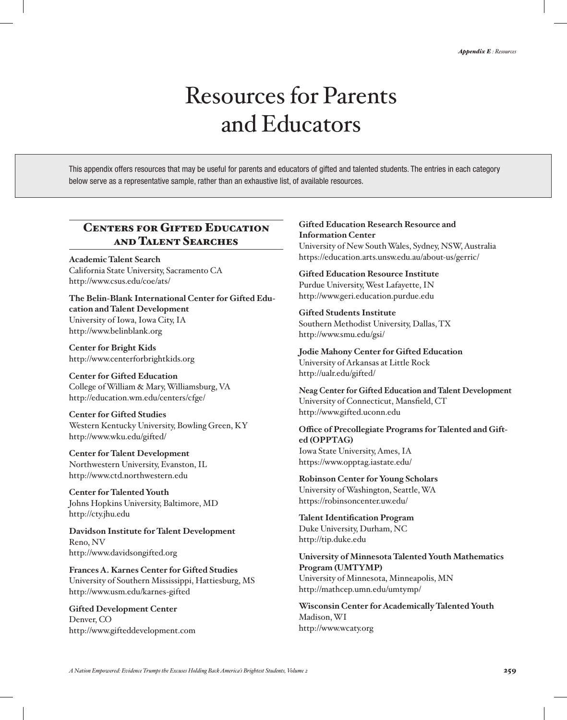# Resources for Parents and Educators

This appendix offers resources that may be useful for parents and educators of gifted and talented students. The entries in each category below serve as a representative sample, rather than an exhaustive list, of available resources.

# Centers for Gifted Education and Talent Searches

**Academic Talent Search**  California State University, Sacramento CA http://www.csus.edu/coe/ats/

**The Belin-Blank International Center for Gifted Education and Talent Development** University of Iowa, Iowa City, IA http://www.belinblank.org

**Center for Bright Kids** http://www.centerforbrightkids.org

**Center for Gifted Education** College of William & Mary, Williamsburg, VA http://education.wm.edu/centers/cfge/

**Center for Gifted Studies** Western Kentucky University, Bowling Green, KY http://www.wku.edu/gifted/

**Center for Talent Development** Northwestern University, Evanston, IL http://www.ctd.northwestern.edu

**Center for Talented Youth** Johns Hopkins University, Baltimore, MD http://cty.jhu.edu

**Davidson Institute for Talent Development** Reno, NV http://www.davidsongifted.org

**Frances A. Karnes Center for Gifted Studies** University of Southern Mississippi, Hattiesburg, MS http://www.usm.edu/karnes-gifted

**Gifted Development Center** Denver, CO http://www.gifteddevelopment.com

# **Gifted Education Research Resource and Information Center** University of New South Wales, Sydney, NSW, Australia

https://education.arts.unsw.edu.au/about-us/gerric/

**Gifted Education Resource Institute** Purdue University, West Lafayette, IN http://www.geri.education.purdue.edu

**Gifted Students Institute** Southern Methodist University, Dallas, TX http://www.smu.edu/gsi/

**Jodie Mahony Center for Gifted Education** University of Arkansas at Little Rock http://ualr.edu/gifted/

**Neag Center for Gifted Education and Talent Development** University of Connecticut, Mansfield, CT http://www.gifted.uconn.edu

**Office of Precollegiate Programs for Talented and Gifted (OPPTAG)** Iowa State University, Ames, IA https://www.opptag.iastate.edu/

**Robinson Center for Young Scholars** University of Washington, Seattle, WA https://robinsoncenter.uw.edu/

**Talent Identification Program** Duke University, Durham, NC http://tip.duke.edu

**University of Minnesota Talented Youth Mathematics Program (UMTYMP)** University of Minnesota, Minneapolis, MN http://mathcep.umn.edu/umtymp/

**Wisconsin Center for Academically Talented Youth** Madison, WI http://www.wcaty.org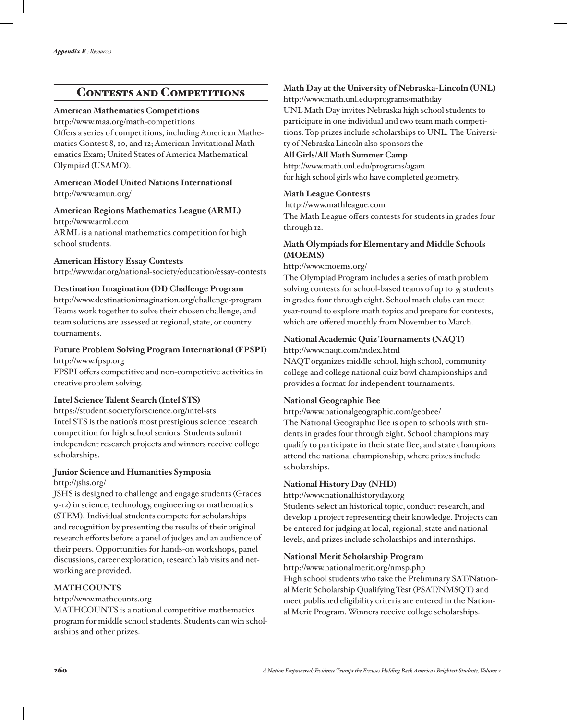# CONTESTS AND COMPETITIONS

#### **American Mathematics Competitions**

http://www.maa.org/math-competitions Offers a series of competitions, including American Mathematics Contest 8, 10, and 12; American Invitational Mathematics Exam; United States of America Mathematical Olympiad (USAMO).

#### **American Model United Nations International** http://www.amun.org/

## **American Regions Mathematics League (ARML)**

http://www.arml.com ARML is a national mathematics competition for high school students.

#### **American History Essay Contests**

http://www.dar.org/national-society/education/essay-contests

# **Destination Imagination (DI) Challenge Program**

http://www.destinationimagination.org/challenge-program Teams work together to solve their chosen challenge, and team solutions are assessed at regional, state, or country tournaments.

# **Future Problem Solving Program International (FPSPI)**

http://www.fpsp.org

FPSPI offers competitive and non-competitive activities in creative problem solving.

# **Intel Science Talent Search (Intel STS)**

https://student.societyforscience.org/intel-sts Intel STS is the nation's most prestigious science research competition for high school seniors. Students submit independent research projects and winners receive college scholarships.

# **Junior Science and Humanities Symposia** http://jshs.org/

JSHS is designed to challenge and engage students (Grades 9-12) in science, technology, engineering or mathematics (STEM). Individual students compete for scholarships and recognition by presenting the results of their original research efforts before a panel of judges and an audience of their peers. Opportunities for hands-on workshops, panel discussions, career exploration, research lab visits and networking are provided.

# **MATHCOUNTS**

#### http://www.mathcounts.org

MATHCOUNTS is a national competitive mathematics program for middle school students. Students can win scholarships and other prizes.

# **Math Day at the University of Nebraska-Lincoln (UNL)**

http://www.math.unl.edu/programs/mathday

UNL Math Day invites Nebraska high school students to participate in one individual and two team math competitions. Top prizes include scholarships to UNL. The University of Nebraska Lincoln also sponsors the

## **All Girls/All Math Summer Camp**

http://www.math.unl.edu/programs/agam for high school girls who have completed geometry.

## **Math League Contests**

http://www.mathleague.com

The Math League offers contests for students in grades four through 12.

# **Math Olympiads for Elementary and Middle Schools (MOEMS)**

#### http://www.moems.org/

The Olympiad Program includes a series of math problem solving contests for school-based teams of up to 35 students in grades four through eight. School math clubs can meet year-round to explore math topics and prepare for contests, which are offered monthly from November to March.

# **National Academic Quiz Tournaments (NAQT)**

http://www.naqt.com/index.html

NAQT organizes middle school, high school, community college and college national quiz bowl championships and provides a format for independent tournaments.

# **National Geographic Bee**

http://www.nationalgeographic.com/geobee/

The National Geographic Bee is open to schools with students in grades four through eight. School champions may qualify to participate in their state Bee, and state champions attend the national championship, where prizes include scholarships.

# **National History Day (NHD)**

http://www.nationalhistoryday.org

Students select an historical topic, conduct research, and develop a project representing their knowledge. Projects can be entered for judging at local, regional, state and national levels, and prizes include scholarships and internships.

# **National Merit Scholarship Program**

http://www.nationalmerit.org/nmsp.php High school students who take the Preliminary SAT/National Merit Scholarship Qualifying Test (PSAT/NMSQT) and meet published eligibility criteria are entered in the National Merit Program. Winners receive college scholarships.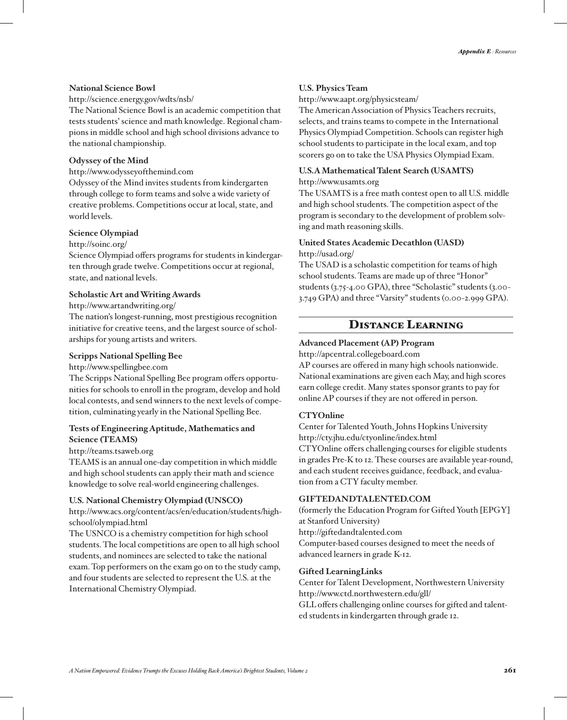#### **National Science Bowl**

#### http://science.energy.gov/wdts/nsb/

The National Science Bowl is an academic competition that tests students' science and math knowledge. Regional champions in middle school and high school divisions advance to the national championship.

#### **Odyssey of the Mind**

http://www.odysseyofthemind.com

Odyssey of the Mind invites students from kindergarten through college to form teams and solve a wide variety of creative problems. Competitions occur at local, state, and world levels.

#### **Science Olympiad**

#### http://soinc.org/

Science Olympiad offers programs for students in kindergarten through grade twelve. Competitions occur at regional, state, and national levels.

#### **Scholastic Art and Writing Awards**

#### http://www.artandwriting.org/

The nation's longest-running, most prestigious recognition initiative for creative teens, and the largest source of scholarships for young artists and writers.

#### **Scripps National Spelling Bee**

http://www.spellingbee.com

The Scripps National Spelling Bee program offers opportunities for schools to enroll in the program, develop and hold local contests, and send winners to the next levels of competition, culminating yearly in the National Spelling Bee.

#### **Tests of Engineering Aptitude, Mathematics and Science (TEAMS)**

http://teams.tsaweb.org

TEAMS is an annual one-day competition in which middle and high school students can apply their math and science knowledge to solve real-world engineering challenges.

#### **U.S. National Chemistry Olympiad (UNSCO)**

http://www.acs.org/content/acs/en/education/students/highschool/olympiad.html

The USNCO is a chemistry competition for high school students. The local competitions are open to all high school students, and nominees are selected to take the national exam. Top performers on the exam go on to the study camp, and four students are selected to represent the U.S. at the International Chemistry Olympiad.

#### **U.S. Physics Team**

http://www.aapt.org/physicsteam/

The American Association of Physics Teachers recruits, selects, and trains teams to compete in the International Physics Olympiad Competition. Schools can register high school students to participate in the local exam, and top scorers go on to take the USA Physics Olympiad Exam.

#### **U.S.A Mathematical Talent Search (USAMTS)**

#### http://www.usamts.org

The USAMTS is a free math contest open to all U.S. middle and high school students. The competition aspect of the program is secondary to the development of problem solving and math reasoning skills.

#### **United States Academic Decathlon (UASD)** http://usad.org/

The USAD is a scholastic competition for teams of high school students. Teams are made up of three "Honor" students (3.75-4.00 GPA), three "Scholastic" students (3.00- 3.749 GPA) and three "Varsity" students (0.00-2.999 GPA).

# Distance Learning

#### **Advanced Placement (AP) Program**

http://apcentral.collegeboard.com

AP courses are offered in many high schools nationwide. National examinations are given each May, and high scores earn college credit. Many states sponsor grants to pay for online AP courses if they are not offered in person.

#### **CTYOnline**

Center for Talented Youth, Johns Hopkins University http://cty.jhu.edu/ctyonline/index.html CTYOnline offers challenging courses for eligible students in grades Pre-K to 12. These courses are available year-round, and each student receives guidance, feedback, and evaluation from a CTY faculty member.

## **GIFTEDANDTALENTED.COM**

(formerly the Education Program for Gifted Youth [EPGY] at Stanford University) http://giftedandtalented.com Computer-based courses designed to meet the needs of advanced learners in grade K-12.

#### **Gifted LearningLinks**

Center for Talent Development, Northwestern University http://www.ctd.northwestern.edu/gll/

GLL offers challenging online courses for gifted and talented students in kindergarten through grade 12.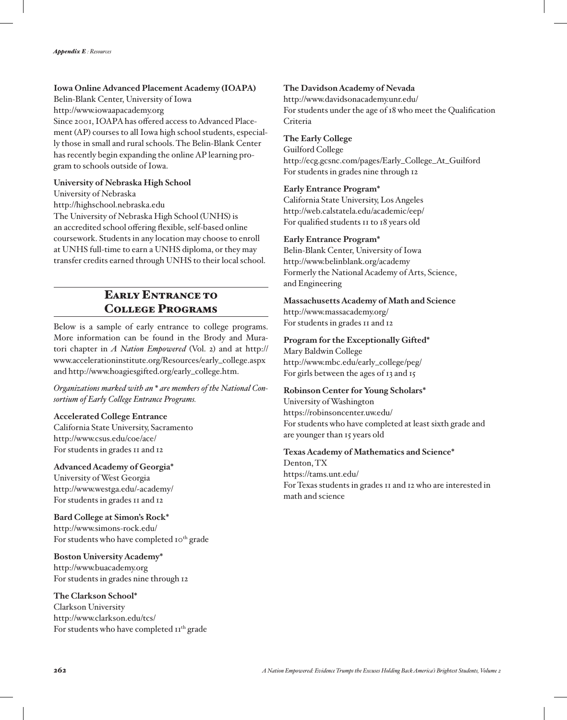## **Iowa Online Advanced Placement Academy (IOAPA)**

Belin-Blank Center, University of Iowa http://www.iowaapacademy.org Since 2001, IOAPA has offered access to Advanced Placement (AP) courses to all Iowa high school students, especially those in small and rural schools. The Belin-Blank Center has recently begin expanding the online AP learning program to schools outside of Iowa.

#### **University of Nebraska High School**

University of Nebraska

http://highschool.nebraska.edu

The University of Nebraska High School (UNHS) is an accredited school offering flexible, self-based online coursework. Students in any location may choose to enroll at UNHS full-time to earn a UNHS diploma, or they may transfer credits earned through UNHS to their local school.

# EARLY ENTRANCE TO College Programs

Below is a sample of early entrance to college programs. More information can be found in the Brody and Muratori chapter in *A Nation Empowered* (Vol. 2) and at http:// www.accelerationinstitute.org/Resources/early\_college.aspx and http://www.hoagiesgifted.org/early\_college.htm.

*Organizations marked with an \* are members of the National Consortium of Early College Entrance Programs.*

#### **Accelerated College Entrance**

California State University, Sacramento http://www.csus.edu/coe/ace/ For students in grades 11 and 12

#### **Advanced Academy of Georgia\***

University of West Georgia http://www.westga.edu/~academy/ For students in grades 11 and 12

# **Bard College at Simon's Rock\***

http://www.simons-rock.edu/ For students who have completed 10<sup>th</sup> grade

#### **Boston University Academy\***

http://www.buacademy.org For students in grades nine through 12

#### **The Clarkson School\***

Clarkson University http://www.clarkson.edu/tcs/ For students who have completed  $II<sup>th</sup>$  grade

#### **The Davidson Academy of Nevada**

http://www.davidsonacademy.unr.edu/ For students under the age of 18 who meet the Qualification Criteria

### **The Early College**

Guilford College http://ecg.gcsnc.com/pages/Early\_College\_At\_Guilford For students in grades nine through 12

#### **Early Entrance Program\***

California State University, Los Angeles http://web.calstatela.edu/academic/eep/ For qualified students 11 to 18 years old

#### **Early Entrance Program\***

Belin-Blank Center, University of Iowa http://www.belinblank.org/academy Formerly the National Academy of Arts, Science, and Engineering

#### **Massachusetts Academy of Math and Science**

http://www.massacademy.org/ For students in grades 11 and 12

#### **Program for the Exceptionally Gifted\***

Mary Baldwin College http://www.mbc.edu/early\_college/peg/ For girls between the ages of 13 and 15

#### **Robinson Center for Young Scholars\***

University of Washington https://robinsoncenter.uw.edu/ For students who have completed at least sixth grade and are younger than 15 years old

#### **Texas Academy of Mathematics and Science\***

Denton, TX https://tams.unt.edu/ For Texas students in grades 11 and 12 who are interested in math and science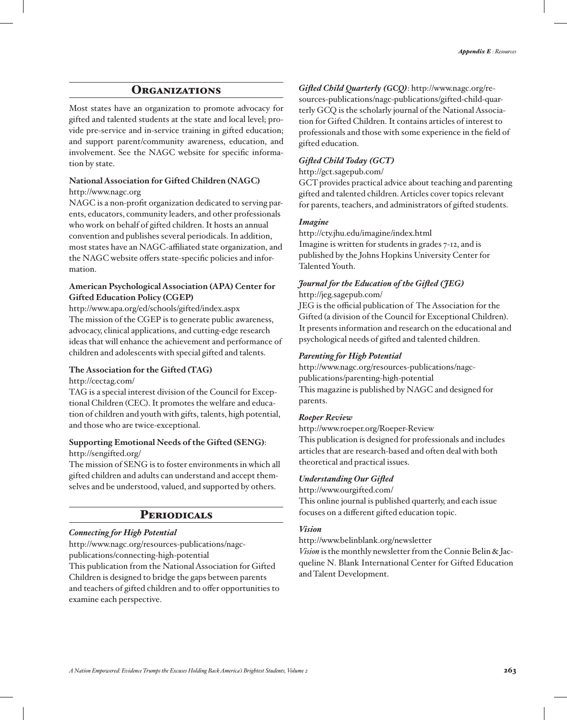# **ORGANIZATIONS**

Most states have an organization to promote advocacy for gifted and talented students at the state and local level; provide pre-service and in-service training in gifted education; and support parent/community awareness, education, and involvement. See the NAGC website for specific information by state.

# **National Association for Gifted Children (NAGC)**

# http://www.nagc.org

NAGC is a non-profit organization dedicated to serving parents, educators, community leaders, and other professionals who work on behalf of gifted children. It hosts an annual convention and publishes several periodicals. In addition, most states have an NAGC-affiliated state organization, and the NAGC website offers state-specific policies and information.

### **American Psychological Association (APA) Center for Gifted Education Policy (CGEP)**

http://www.apa.org/ed/schools/gifted/index.aspx The mission of the CGEP is to generate public awareness, advocacy, clinical applications, and cutting-edge research ideas that will enhance the achievement and performance of children and adolescents with special gifted and talents.

#### **The Association for the Gifted (TAG)**

http://cectag.com/

TAG is a special interest division of the Council for Exceptional Children (CEC). It promotes the welfare and education of children and youth with gifts, talents, high potential, and those who are twice-exceptional.

## **Supporting Emotional Needs of the Gifted (SENG)**: http://sengifted.org/

The mission of SENG is to foster environments in which all gifted children and adults can understand and accept themselves and be understood, valued, and supported by others.

# **PERIODICALS**

## *Connecting for High Potential*

http://www.nagc.org/resources-publications/nagcpublications/connecting-high-potential This publication from the National Association for Gifted Children is designed to bridge the gaps between parents and teachers of gifted children and to offer opportunities to examine each perspective.

*Gifted Child Quarterly (GCQ)*: http://www.nagc.org/resources-publications/nagc-publications/gifted-child-quarterly GCQ is the scholarly journal of the National Association for Gifted Children. It contains articles of interest to professionals and those with some experience in the field of gifted education.

### *Gifted Child Today (GCT)*

#### http://gct.sagepub.com/

GCT provides practical advice about teaching and parenting gifted and talented children. Articles cover topics relevant for parents, teachers, and administrators of gifted students.

#### *Imagine*

http://cty.jhu.edu/imagine/index.html

Imagine is written for students in grades 7-12, and is published by the Johns Hopkins University Center for Talented Youth.

#### *Journal for the Education of the Gifted (JEG)* http://jeg.sagepub.com/

JEG is the official publication of The Association for the Gifted (a division of the Council for Exceptional Children). It presents information and research on the educational and psychological needs of gifted and talented children.

## *Parenting for High Potential*

http://www.nagc.org/resources-publications/nagcpublications/parenting-high-potential This magazine is published by NAGC and designed for parents.

#### *Roeper Review*

#### http://www.roeper.org/Roeper-Review This publication is designed for professionals and includes articles that are research-based and often deal with both

# *Understanding Our Gifted*

theoretical and practical issues.

http://www.ourgifted.com/

This online journal is published quarterly, and each issue focuses on a different gifted education topic.

#### *Vision*

#### http://www.belinblank.org/newsletter

*Vision* is the monthly newsletter from the Connie Belin & Jacqueline N. Blank International Center for Gifted Education and Talent Development.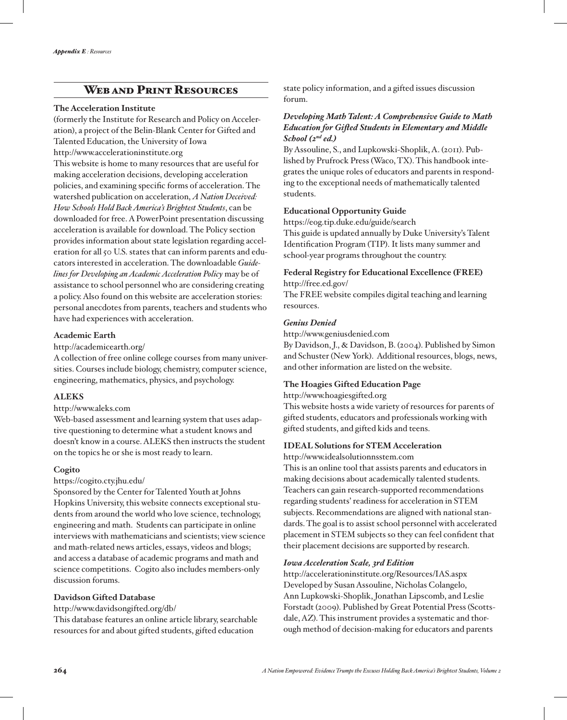# WEB AND PRINT RESOURCES

#### **The Acceleration Institute**

(formerly the Institute for Research and Policy on Acceleration), a project of the Belin-Blank Center for Gifted and Talented Education, the University of Iowa http://www.accelerationinstitute.org

This website is home to many resources that are useful for making acceleration decisions, developing acceleration policies, and examining specific forms of acceleration. The watershed publication on acceleration, *A Nation Deceived: How Schools Hold Back America's Brightest Students*, can be downloaded for free. A PowerPoint presentation discussing acceleration is available for download. The Policy section provides information about state legislation regarding acceleration for all 50 U.S. states that can inform parents and educators interested in acceleration. The downloadable *Guidelines for Developing an Academic Acceleration Policy* may be of assistance to school personnel who are considering creating a policy. Also found on this website are acceleration stories: personal anecdotes from parents, teachers and students who have had experiences with acceleration.

#### **Academic Earth**

http://academicearth.org/

A collection of free online college courses from many universities. Courses include biology, chemistry, computer science, engineering, mathematics, physics, and psychology.

#### **ALEKS**

#### http://www.aleks.com

Web-based assessment and learning system that uses adaptive questioning to determine what a student knows and doesn't know in a course. ALEKS then instructs the student on the topics he or she is most ready to learn.

#### **Cogito**

https://cogito.cty.jhu.edu/

Sponsored by the Center for Talented Youth at Johns Hopkins University, this website connects exceptional students from around the world who love science, technology, engineering and math. Students can participate in online interviews with mathematicians and scientists; view science and math-related news articles, essays, videos and blogs; and access a database of academic programs and math and science competitions. Cogito also includes members-only discussion forums.

# **Davidson Gifted Database**

http://www.davidsongifted.org/db/

This database features an online article library, searchable resources for and about gifted students, gifted education

state policy information, and a gifted issues discussion forum.

# *Developing Math Talent: A Comprehensive Guide to Math Education for Gifted Students in Elementary and Middle School (2nd ed.)*

By Assouline, S., and Lupkowski-Shoplik, A. (2011). Published by Prufrock Press (Waco, TX). This handbook integrates the unique roles of educators and parents in responding to the exceptional needs of mathematically talented students.

## **Educational Opportunity Guide**

https://eog.tip.duke.edu/guide/search This guide is updated annually by Duke University's Talent Identification Program (TIP). It lists many summer and school-year programs throughout the country.

# **Federal Registry for Educational Excellence (FREE)**

http://free.ed.gov/

The FREE website compiles digital teaching and learning resources.

## *Genius Denied*

http://www.geniusdenied.com

By Davidson, J., & Davidson, B. (2004). Published by Simon and Schuster (New York). Additional resources, blogs, news, and other information are listed on the website.

# **The Hoagies Gifted Education Page**

http://www.hoagiesgifted.org

This website hosts a wide variety of resources for parents of gifted students, educators and professionals working with gifted students, and gifted kids and teens.

#### **IDEAL Solutions for STEM Acceleration**

http://www.idealsolutionnsstem.com

This is an online tool that assists parents and educators in making decisions about academically talented students. Teachers can gain research-supported recommendations regarding students' readiness for acceleration in STEM subjects. Recommendations are aligned with national standards. The goal is to assist school personnel with accelerated placement in STEM subjects so they can feel confident that their placement decisions are supported by research.

#### *Iowa Acceleration Scale, 3rd Edition*

http://accelerationinstitute.org/Resources/IAS.aspx Developed by Susan Assouline, Nicholas Colangelo, Ann Lupkowski-Shoplik, Jonathan Lipscomb, and Leslie Forstadt (2009). Published by Great Potential Press (Scottsdale, AZ). This instrument provides a systematic and thorough method of decision-making for educators and parents